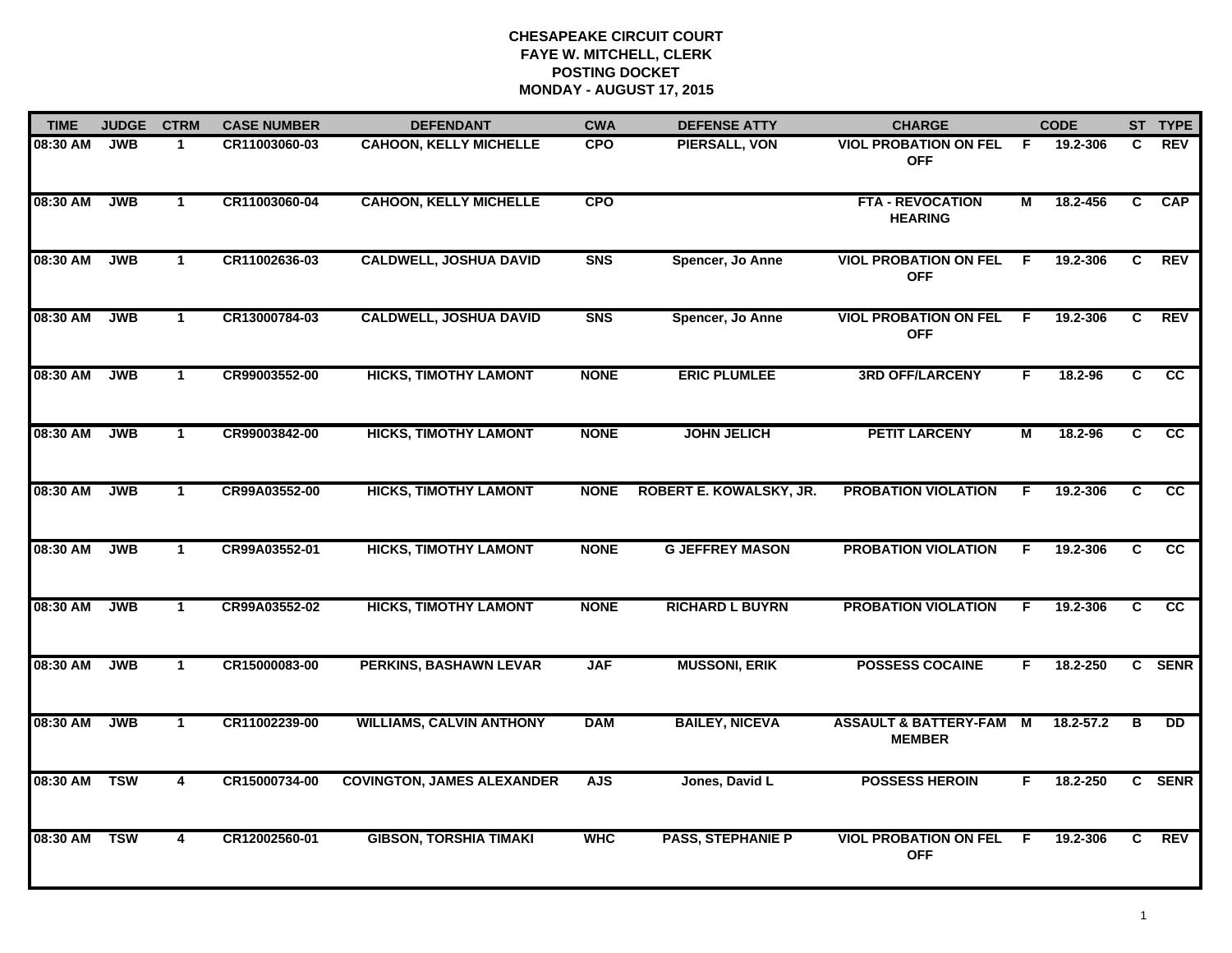| <b>TIME</b> | <b>JUDGE</b> | <b>CTRM</b>          | <b>CASE NUMBER</b> | <b>DEFENDANT</b>                  | <b>CWA</b>  | <b>DEFENSE ATTY</b>      | <b>CHARGE</b>                                     | <b>CODE</b>    |               |                | ST TYPE         |
|-------------|--------------|----------------------|--------------------|-----------------------------------|-------------|--------------------------|---------------------------------------------------|----------------|---------------|----------------|-----------------|
| 08:30 AM    | <b>JWB</b>   | -1                   | CR11003060-03      | <b>CAHOON, KELLY MICHELLE</b>     | <b>CPO</b>  | PIERSALL, VON            | <b>VIOL PROBATION ON FEL</b><br><b>OFF</b>        | -F             | 19.2-306      | C.             | <b>REV</b>      |
| 08:30 AM    | <b>JWB</b>   | $\mathbf{1}$         | CR11003060-04      | <b>CAHOON, KELLY MICHELLE</b>     | <b>CPO</b>  |                          | <b>FTA - REVOCATION</b><br><b>HEARING</b>         | $\overline{M}$ | 18.2-456      | $\overline{c}$ | <b>CAP</b>      |
| 08:30 AM    | <b>JWB</b>   | $\blacktriangleleft$ | CR11002636-03      | <b>CALDWELL, JOSHUA DAVID</b>     | <b>SNS</b>  | Spencer, Jo Anne         | <b>VIOL PROBATION ON FEL</b><br><b>OFF</b>        | F.             | 19.2-306      | C              | <b>REV</b>      |
| 08:30 AM    | <b>JWB</b>   | $\mathbf{1}$         | CR13000784-03      | <b>CALDWELL, JOSHUA DAVID</b>     | <b>SNS</b>  | Spencer, Jo Anne         | <b>VIOL PROBATION ON FEL</b><br><b>OFF</b>        | -F             | 19.2-306      | C              | <b>REV</b>      |
| 08:30 AM    | <b>JWB</b>   | $\mathbf 1$          | CR99003552-00      | <b>HICKS, TIMOTHY LAMONT</b>      | <b>NONE</b> | <b>ERIC PLUMLEE</b>      | <b>3RD OFF/LARCENY</b>                            | F.             | 18.2-96       | C.             | cc              |
| 08:30 AM    | <b>JWB</b>   | $\mathbf 1$          | CR99003842-00      | <b>HICKS, TIMOTHY LAMONT</b>      | <b>NONE</b> | <b>JOHN JELICH</b>       | <b>PETIT LARCENY</b>                              | М              | 18.2-96       | C              | $\overline{cc}$ |
| 08:30 AM    | <b>JWB</b>   | $\mathbf{1}$         | CR99A03552-00      | <b>HICKS, TIMOTHY LAMONT</b>      | <b>NONE</b> | ROBERT E. KOWALSKY, JR.  | <b>PROBATION VIOLATION</b>                        | F.             | 19.2-306      | $\overline{c}$ | $\overline{cc}$ |
| 08:30 AM    | <b>JWB</b>   | $\mathbf{1}$         | CR99A03552-01      | <b>HICKS, TIMOTHY LAMONT</b>      | <b>NONE</b> | <b>G JEFFREY MASON</b>   | <b>PROBATION VIOLATION</b>                        | F              | 19.2-306      | C              | cc              |
| 08:30 AM    | <b>JWB</b>   | $\blacktriangleleft$ | CR99A03552-02      | <b>HICKS, TIMOTHY LAMONT</b>      | <b>NONE</b> | <b>RICHARD L BUYRN</b>   | <b>PROBATION VIOLATION</b>                        | F              | 19.2-306      | C              | CC              |
| 08:30 AM    | <b>JWB</b>   | $\blacktriangleleft$ | CR15000083-00      | <b>PERKINS, BASHAWN LEVAR</b>     | <b>JAF</b>  | <b>MUSSONI, ERIK</b>     | <b>POSSESS COCAINE</b>                            | F.             | 18.2-250      |                | C SENR          |
| 08:30 AM    | <b>JWB</b>   | $\mathbf 1$          | CR11002239-00      | <b>WILLIAMS, CALVIN ANTHONY</b>   | <b>DAM</b>  | <b>BAILEY, NICEVA</b>    | <b>ASSAULT &amp; BATTERY-FAM</b><br><b>MEMBER</b> | M              | $18.2 - 57.2$ | в              | <b>DD</b>       |
| 08:30 AM    | <b>TSW</b>   | $\overline{4}$       | CR15000734-00      | <b>COVINGTON, JAMES ALEXANDER</b> | <b>AJS</b>  | Jones, David L           | <b>POSSESS HEROIN</b>                             | F.             | 18.2-250      |                | C SENR          |
| 08:30 AM    | <b>TSW</b>   | 4                    | CR12002560-01      | <b>GIBSON, TORSHIA TIMAKI</b>     | <b>WHC</b>  | <b>PASS, STEPHANIE P</b> | <b>VIOL PROBATION ON FEL</b><br><b>OFF</b>        | E              | 19.2-306      | C              | REV             |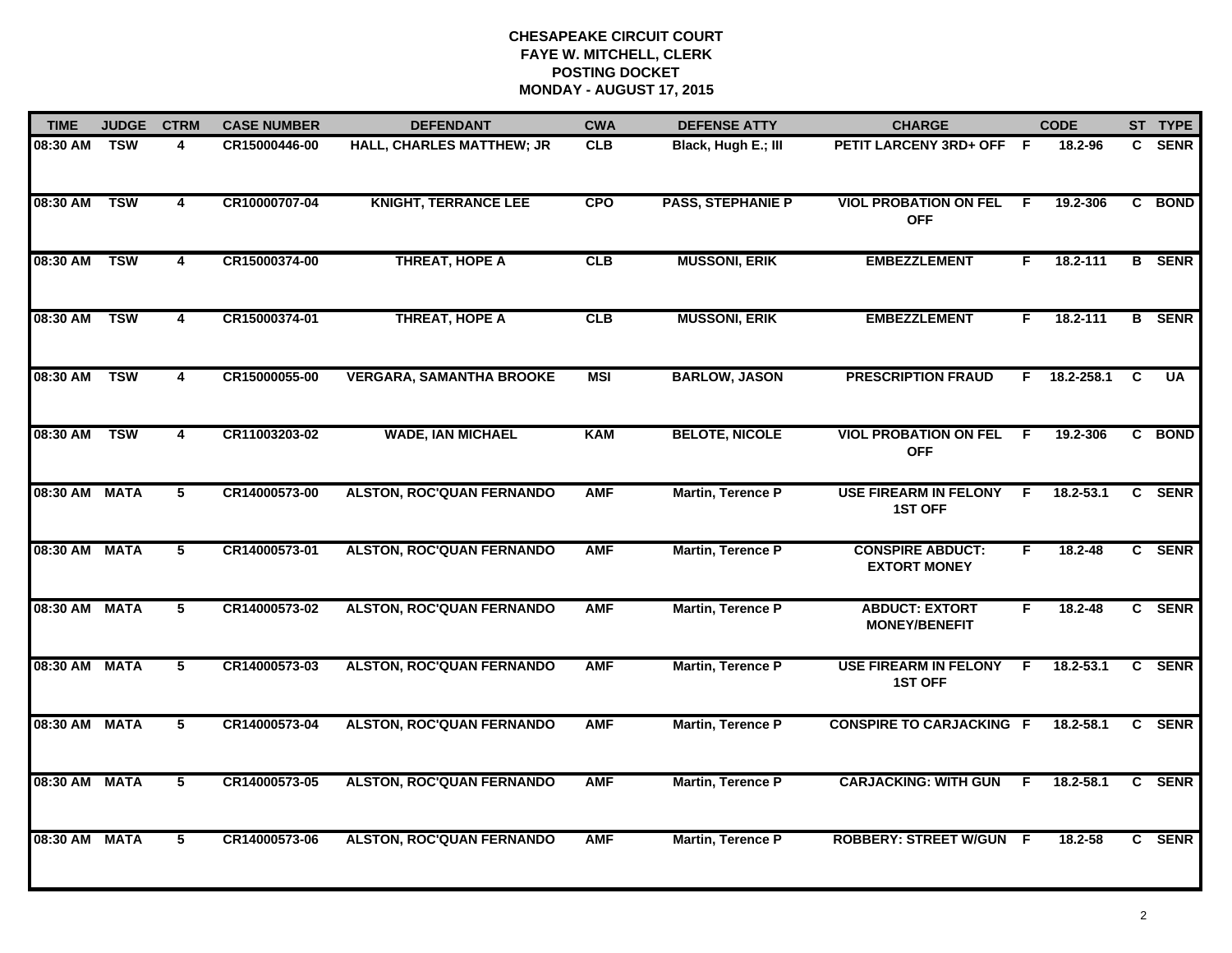| <b>TIME</b>   | <b>JUDGE</b> | <b>CTRM</b>             | <b>CASE NUMBER</b> | <b>DEFENDANT</b>                 | <b>CWA</b> | <b>DEFENSE ATTY</b>      | <b>CHARGE</b>                                  |    | <b>CODE</b>   |   | ST TYPE       |
|---------------|--------------|-------------------------|--------------------|----------------------------------|------------|--------------------------|------------------------------------------------|----|---------------|---|---------------|
| 08:30 AM      | TSW          | 4                       | CR15000446-00      | HALL, CHARLES MATTHEW; JR        | <b>CLB</b> | Black, Hugh E.; III      | PETIT LARCENY 3RD+ OFF F                       |    | 18.2-96       |   | C SENR        |
| 08:30 AM      | <b>TSW</b>   | $\overline{4}$          | CR10000707-04      | <b>KNIGHT, TERRANCE LEE</b>      | <b>CPO</b> | <b>PASS, STEPHANIE P</b> | <b>VIOL PROBATION ON FEL</b><br><b>OFF</b>     | -F | 19.2-306      |   | C BOND        |
| 08:30 AM      | <b>TSW</b>   | 4                       | CR15000374-00      | <b>THREAT, HOPE A</b>            | CLB        | <b>MUSSONI, ERIK</b>     | <b>EMBEZZLEMENT</b>                            | F  | 18.2-111      |   | <b>B</b> SENR |
| 08:30 AM      | <b>TSW</b>   | 4                       | CR15000374-01      | <b>THREAT, HOPE A</b>            | CLB        | <b>MUSSONI, ERIK</b>     | <b>EMBEZZLEMENT</b>                            | F. | 18.2-111      |   | <b>B</b> SENR |
| 08:30 AM      | <b>TSW</b>   | $\overline{\mathbf{4}}$ | CR15000055-00      | <b>VERGARA, SAMANTHA BROOKE</b>  | <b>MSI</b> | <b>BARLOW, JASON</b>     | <b>PRESCRIPTION FRAUD</b>                      | F. | 18.2-258.1    | C | <b>UA</b>     |
| 08:30 AM      | <b>TSW</b>   | 4                       | CR11003203-02      | <b>WADE, IAN MICHAEL</b>         | <b>KAM</b> | <b>BELOTE, NICOLE</b>    | <b>VIOL PROBATION ON FEL</b><br><b>OFF</b>     | -F | 19.2-306      |   | C BOND        |
| 08:30 AM MATA |              | 5                       | CR14000573-00      | <b>ALSTON, ROC'QUAN FERNANDO</b> | <b>AMF</b> | <b>Martin, Terence P</b> | <b>USE FIREARM IN FELONY</b><br><b>1ST OFF</b> | F. | 18.2-53.1     |   | C SENR        |
| 08:30 AM MATA |              | 5                       | CR14000573-01      | <b>ALSTON, ROC'QUAN FERNANDO</b> | <b>AMF</b> | Martin, Terence P        | <b>CONSPIRE ABDUCT:</b><br><b>EXTORT MONEY</b> | F  | 18.2-48       |   | C SENR        |
| 08:30 AM MATA |              | 5                       | CR14000573-02      | <b>ALSTON, ROC'QUAN FERNANDO</b> | <b>AMF</b> | <b>Martin, Terence P</b> | <b>ABDUCT: EXTORT</b><br><b>MONEY/BENEFIT</b>  | F  | 18.2-48       |   | C SENR        |
| 08:30 AM MATA |              | 5                       | CR14000573-03      | <b>ALSTON, ROC'QUAN FERNANDO</b> | <b>AMF</b> | <b>Martin, Terence P</b> | <b>USE FIREARM IN FELONY</b><br><b>1ST OFF</b> | F  | $18.2 - 53.1$ |   | C SENR        |
| 08:30 AM MATA |              | 5                       | CR14000573-04      | <b>ALSTON, ROC'QUAN FERNANDO</b> | <b>AMF</b> | <b>Martin, Terence P</b> | <b>CONSPIRE TO CARJACKING F</b>                |    | 18.2-58.1     |   | C SENR        |
| 08:30 AM      | <b>MATA</b>  | 5                       | CR14000573-05      | <b>ALSTON, ROC'QUAN FERNANDO</b> | <b>AMF</b> | Martin, Terence P        | <b>CARJACKING: WITH GUN</b>                    | F. | 18.2-58.1     |   | C SENR        |
| 08:30 AM      | <b>MATA</b>  | 5                       | CR14000573-06      | <b>ALSTON, ROC'QUAN FERNANDO</b> | <b>AMF</b> | <b>Martin, Terence P</b> | <b>ROBBERY: STREET W/GUN</b>                   | -F | 18.2-58       |   | C SENR        |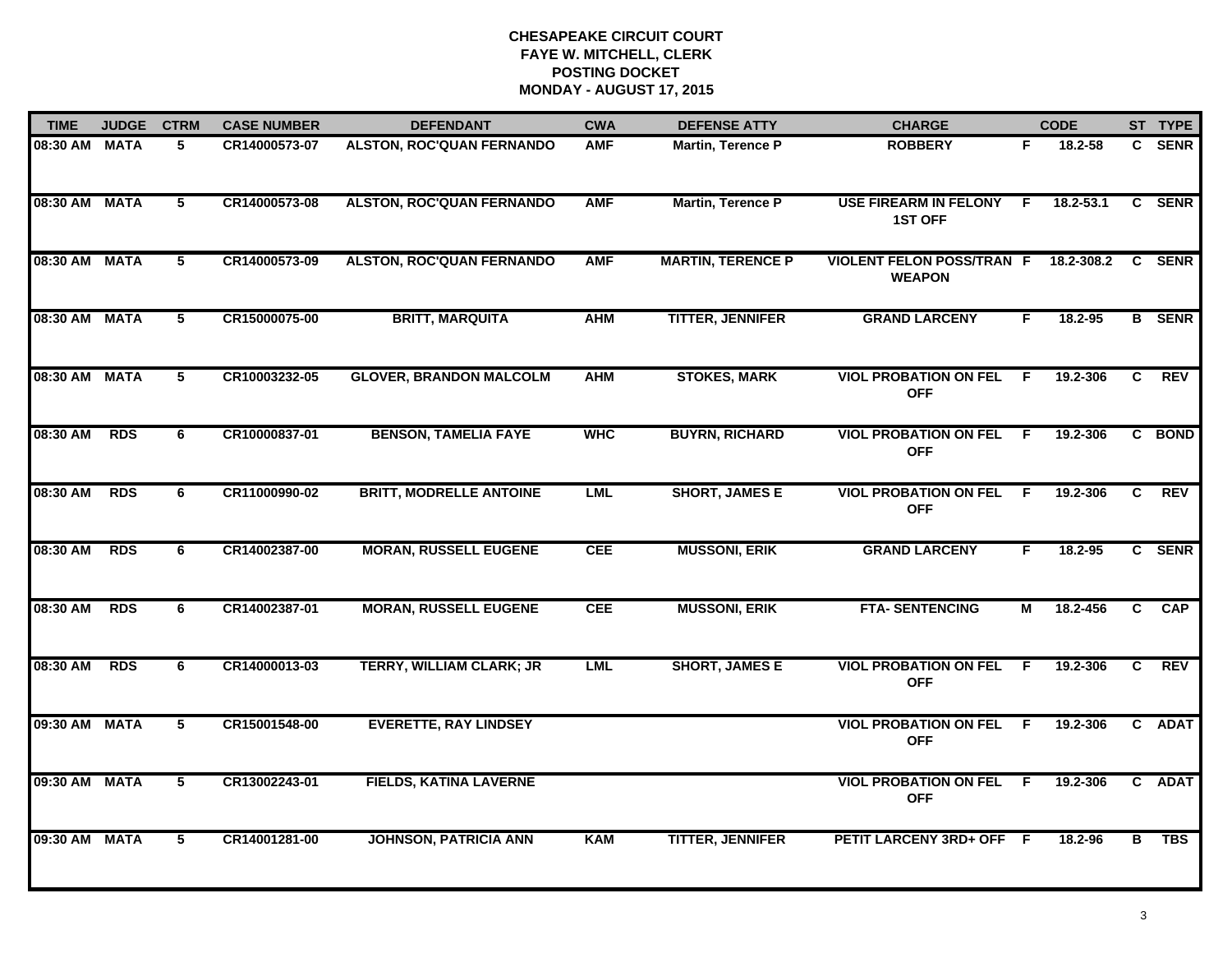| <b>TIME</b>   | <b>JUDGE</b> | <b>CTRM</b> | <b>CASE NUMBER</b> | <b>DEFENDANT</b>                 | <b>CWA</b> | <b>DEFENSE ATTY</b>      | <b>CHARGE</b>                                     |     | <b>CODE</b>   |              | ST TYPE       |
|---------------|--------------|-------------|--------------------|----------------------------------|------------|--------------------------|---------------------------------------------------|-----|---------------|--------------|---------------|
| 08:30 AM MATA |              | 5           | CR14000573-07      | <b>ALSTON, ROC'QUAN FERNANDO</b> | <b>AMF</b> | <b>Martin, Terence P</b> | <b>ROBBERY</b>                                    | F.  | 18.2-58       |              | C SENR        |
| 08:30 AM MATA |              | 5           | CR14000573-08      | <b>ALSTON, ROC'QUAN FERNANDO</b> | <b>AMF</b> | <b>Martin, Terence P</b> | <b>USE FIREARM IN FELONY</b><br><b>1ST OFF</b>    | F.  | $18.2 - 53.1$ |              | C SENR        |
| 08:30 AM MATA |              | 5           | CR14000573-09      | <b>ALSTON, ROC'QUAN FERNANDO</b> | <b>AMF</b> | <b>MARTIN, TERENCE P</b> | <b>VIOLENT FELON POSS/TRAN F</b><br><b>WEAPON</b> |     | 18.2-308.2    |              | C SENR        |
| 08:30 AM MATA |              | 5           | CR15000075-00      | <b>BRITT, MARQUITA</b>           | <b>AHM</b> | <b>TITTER, JENNIFER</b>  | <b>GRAND LARCENY</b>                              | F.  | $18.2 - 95$   |              | <b>B</b> SENR |
| 08:30 AM MATA |              | 5           | CR10003232-05      | <b>GLOVER, BRANDON MALCOLM</b>   | <b>AHM</b> | <b>STOKES, MARK</b>      | <b>VIOL PROBATION ON FEL</b><br><b>OFF</b>        | F.  | 19.2-306      | C            | <b>REV</b>    |
| 08:30 AM      | <b>RDS</b>   | 6           | CR10000837-01      | <b>BENSON, TAMELIA FAYE</b>      | <b>WHC</b> | <b>BUYRN, RICHARD</b>    | <b>VIOL PROBATION ON FEL F</b><br><b>OFF</b>      |     | 19.2-306      |              | C BOND        |
| 08:30 AM      | <b>RDS</b>   | 6           | CR11000990-02      | <b>BRITT, MODRELLE ANTOINE</b>   | <b>LML</b> | <b>SHORT, JAMES E</b>    | <b>VIOL PROBATION ON FEL</b><br><b>OFF</b>        | -F. | 19.2-306      | C            | REV           |
| 08:30 AM      | <b>RDS</b>   | 6           | CR14002387-00      | <b>MORAN, RUSSELL EUGENE</b>     | <b>CEE</b> | <b>MUSSONI, ERIK</b>     | <b>GRAND LARCENY</b>                              | F   | 18.2-95       |              | C SENR        |
| 08:30 AM      | <b>RDS</b>   | 6           | CR14002387-01      | <b>MORAN, RUSSELL EUGENE</b>     | <b>CEE</b> | <b>MUSSONI, ERIK</b>     | <b>FTA- SENTENCING</b>                            | М   | 18.2-456      | C.           | <b>CAP</b>    |
| 08:30 AM      | <b>RDS</b>   | 6           | CR14000013-03      | TERRY, WILLIAM CLARK; JR         | <b>LML</b> | <b>SHORT, JAMES E</b>    | <b>VIOL PROBATION ON FEL</b><br><b>OFF</b>        | F.  | 19.2-306      | $\mathbf{C}$ | <b>REV</b>    |
| 09:30 AM MATA |              | 5           | CR15001548-00      | <b>EVERETTE, RAY LINDSEY</b>     |            |                          | <b>VIOL PROBATION ON FEL</b><br><b>OFF</b>        | -F  | 19.2-306      |              | C ADAT        |
| 09:30 AM MATA |              | 5           | CR13002243-01      | <b>FIELDS, KATINA LAVERNE</b>    |            |                          | <b>VIOL PROBATION ON FEL</b><br><b>OFF</b>        | - F | 19.2-306      |              | C ADAT        |
| 09:30 AM MATA |              | 5           | CR14001281-00      | <b>JOHNSON, PATRICIA ANN</b>     | <b>KAM</b> | <b>TITTER, JENNIFER</b>  | PETIT LARCENY 3RD+ OFF F                          |     | 18.2-96       | в            | <b>TBS</b>    |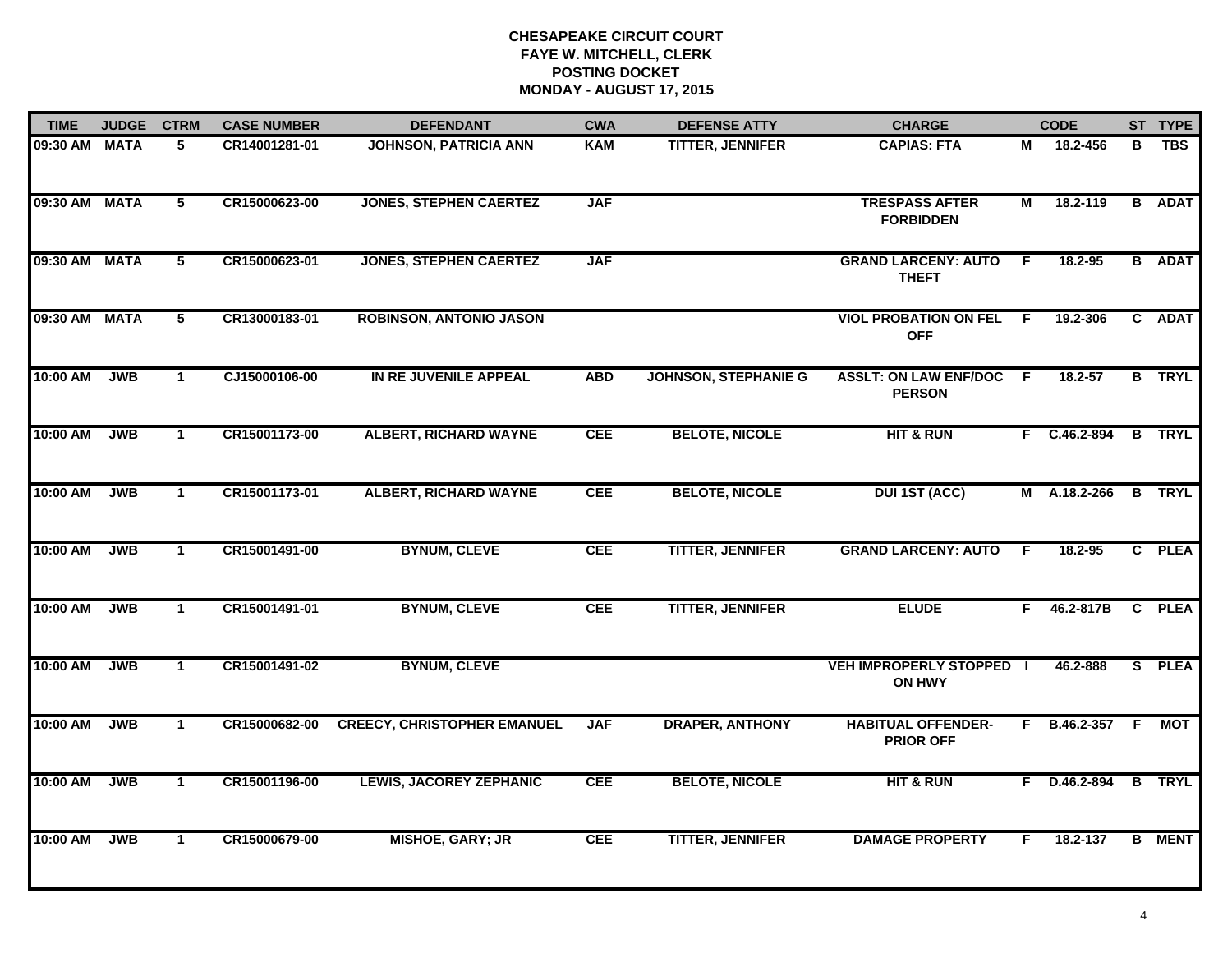| <b>TIME</b>   | <b>JUDGE</b> | <b>CTRM</b>    | <b>CASE NUMBER</b> | <b>DEFENDANT</b>                   | <b>CWA</b> | <b>DEFENSE ATTY</b>         | <b>CHARGE</b>                                    | <b>CODE</b>    |                |   | ST TYPE       |
|---------------|--------------|----------------|--------------------|------------------------------------|------------|-----------------------------|--------------------------------------------------|----------------|----------------|---|---------------|
| 09:30 AM MATA |              | 5              | CR14001281-01      | <b>JOHNSON, PATRICIA ANN</b>       | <b>KAM</b> | <b>TITTER, JENNIFER</b>     | <b>CAPIAS: FTA</b>                               | м              | 18.2-456       | В | <b>TBS</b>    |
| 09:30 AM MATA |              | $5^{\circ}$    | CR15000623-00      | <b>JONES, STEPHEN CAERTEZ</b>      | <b>JAF</b> |                             | <b>TRESPASS AFTER</b><br><b>FORBIDDEN</b>        | $\overline{M}$ | 18.2-119       |   | <b>B</b> ADAT |
| 09:30 AM MATA |              | $\overline{5}$ | CR15000623-01      | <b>JONES, STEPHEN CAERTEZ</b>      | <b>JAF</b> |                             | <b>GRAND LARCENY: AUTO</b><br><b>THEFT</b>       | F.             | 18.2-95        |   | <b>B</b> ADAT |
| 09:30 AM MATA |              | 5              | CR13000183-01      | <b>ROBINSON, ANTONIO JASON</b>     |            |                             | <b>VIOL PROBATION ON FEL</b><br><b>OFF</b>       | - F            | 19.2-306       |   | C ADAT        |
| 10:00 AM      | <b>JWB</b>   | $\mathbf{1}$   | CJ15000106-00      | IN RE JUVENILE APPEAL              | <b>ABD</b> | <b>JOHNSON, STEPHANIE G</b> | <b>ASSLT: ON LAW ENF/DOC</b><br><b>PERSON</b>    | 18.2-57<br>F.  |                |   | <b>B</b> TRYL |
| 10:00 AM      | <b>JWB</b>   | $\mathbf{1}$   | CR15001173-00      | <b>ALBERT, RICHARD WAYNE</b>       | <b>CEE</b> | <b>BELOTE, NICOLE</b>       | <b>HIT &amp; RUN</b>                             |                | F C.46.2-894   |   | <b>B</b> TRYL |
| 10:00 AM      | <b>JWB</b>   | $\mathbf{1}$   | CR15001173-01      | <b>ALBERT, RICHARD WAYNE</b>       | <b>CEE</b> | <b>BELOTE, NICOLE</b>       | <b>DUI 1ST (ACC)</b>                             | M A.18.2-266   |                |   | <b>B</b> TRYL |
| 10:00 AM      | <b>JWB</b>   | $\mathbf{1}$   | CR15001491-00      | <b>BYNUM, CLEVE</b>                | <b>CEE</b> |                             | <b>GRAND LARCENY: AUTO</b>                       | F              | 18.2-95        |   | C PLEA        |
| 10:00 AM      | <b>JWB</b>   | $\mathbf{1}$   | CR15001491-01      | <b>BYNUM, CLEVE</b>                | <b>CEE</b> | <b>TITTER, JENNIFER</b>     | <b>ELUDE</b>                                     | F.             | 46.2-817B      |   | C PLEA        |
| 10:00 AM      | <b>JWB</b>   | $\mathbf{1}$   | CR15001491-02      | <b>BYNUM, CLEVE</b>                |            |                             | <b>VEH IMPROPERLY STOPPED I</b><br><b>ON HWY</b> |                | 46.2-888       |   | S PLEA        |
| 10:00 AM      | <b>JWB</b>   | $\mathbf{1}$   | CR15000682-00      | <b>CREECY, CHRISTOPHER EMANUEL</b> | <b>JAF</b> | <b>DRAPER, ANTHONY</b>      | <b>HABITUAL OFFENDER-</b><br><b>PRIOR OFF</b>    |                | F B.46.2-357 F |   | <b>MOT</b>    |
| 10:00 AM      | <b>JWB</b>   | $\mathbf{1}$   | CR15001196-00      | <b>LEWIS, JACOREY ZEPHANIC</b>     | <b>CEE</b> | <b>BELOTE, NICOLE</b>       | <b>HIT &amp; RUN</b>                             |                | F D.46.2-894 B |   | <b>TRYL</b>   |
| 10:00 AM      | <b>JWB</b>   | $\mathbf{1}$   | CR15000679-00      | <b>MISHOE, GARY; JR</b>            | <b>CEE</b> | <b>TITTER, JENNIFER</b>     | <b>DAMAGE PROPERTY</b>                           | F.             | 18.2-137       |   | <b>B</b> MENT |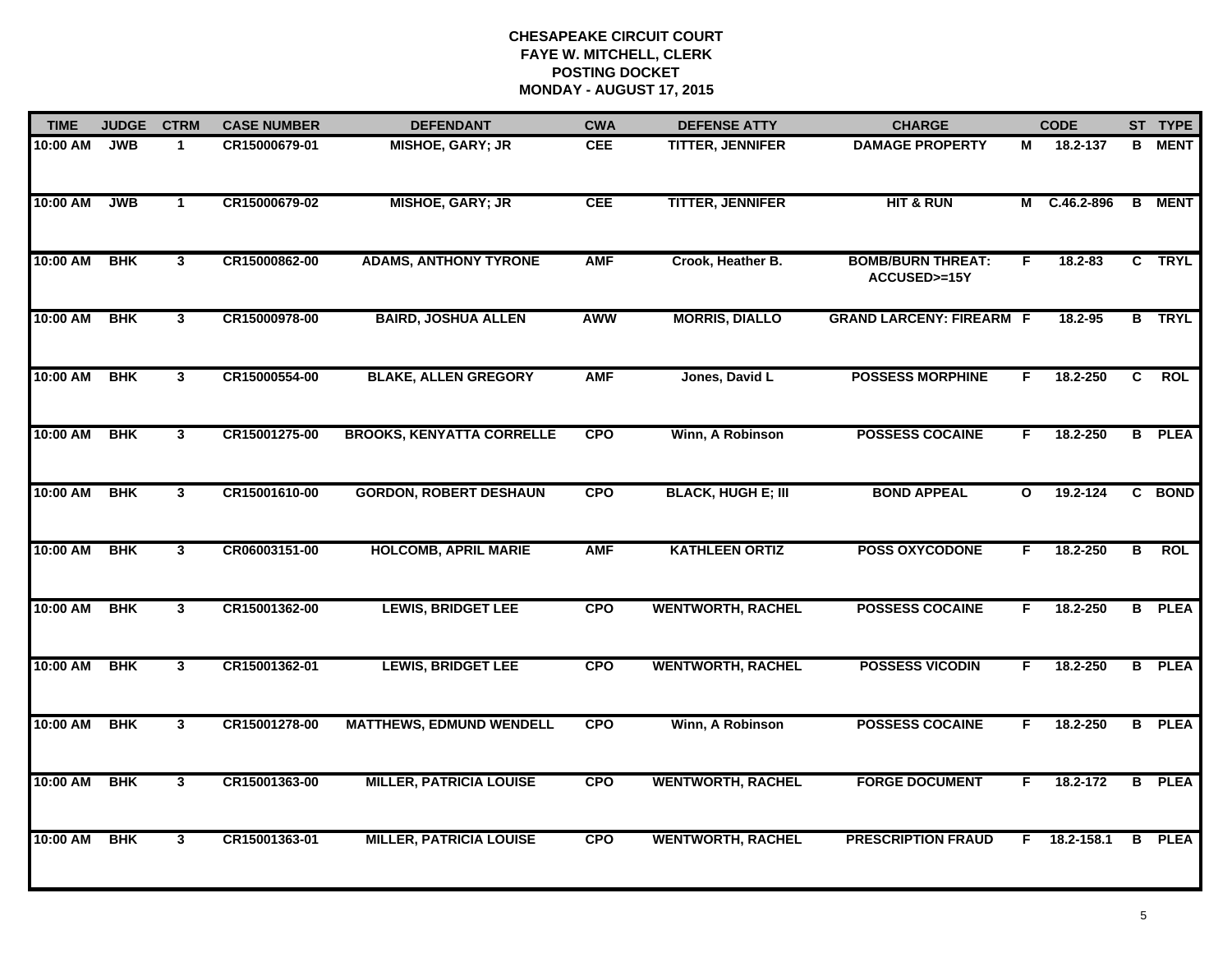| <b>TIME</b> | <b>JUDGE</b> | <b>CTRM</b>    | <b>CASE NUMBER</b> | <b>DEFENDANT</b>                 | <b>CWA</b>                          | <b>DEFENSE ATTY</b>       | <b>CHARGE</b>                            | <b>CODE</b>  |              |   | ST TYPE       |
|-------------|--------------|----------------|--------------------|----------------------------------|-------------------------------------|---------------------------|------------------------------------------|--------------|--------------|---|---------------|
| 10:00 AM    | <b>JWB</b>   | 1              | CR15000679-01      | <b>MISHOE, GARY; JR</b>          | <b>CEE</b>                          | <b>TITTER, JENNIFER</b>   | <b>DAMAGE PROPERTY</b>                   | М            | 18.2-137     | в | <b>MENT</b>   |
| 10:00 AM    | <b>JWB</b>   | $\mathbf{1}$   | CR15000679-02      | <b>MISHOE, GARY; JR</b>          | <b>CEE</b>                          | <b>TITTER, JENNIFER</b>   | <b>HIT &amp; RUN</b>                     |              | M C.46.2-896 |   | <b>B</b> MENT |
| 10:00 AM    | <b>BHK</b>   | $\mathbf{3}$   | CR15000862-00      | <b>ADAMS, ANTHONY TYRONE</b>     | <b>AMF</b>                          | Crook, Heather B.         | <b>BOMB/BURN THREAT:</b><br>ACCUSED>=15Y | F.           | 18.2-83      |   | C TRYL        |
| 10:00 AM    | <b>BHK</b>   | $\mathbf{3}$   | CR15000978-00      | <b>BAIRD, JOSHUA ALLEN</b>       | <b>MORRIS, DIALLO</b><br><b>AWW</b> |                           | <b>GRAND LARCENY: FIREARM F</b>          |              | 18.2-95      |   | <b>B</b> TRYL |
| 10:00 AM    | <b>BHK</b>   | $\mathbf{3}$   | CR15000554-00      | <b>BLAKE, ALLEN GREGORY</b>      | <b>AMF</b>                          | Jones, David L            | <b>POSSESS MORPHINE</b>                  | F.           | 18.2-250     | C | <b>ROL</b>    |
| 10:00 AM    | <b>BHK</b>   | $\mathbf{3}$   | CR15001275-00      | <b>BROOKS, KENYATTA CORRELLE</b> | <b>CPO</b>                          | Winn, A Robinson          | <b>POSSESS COCAINE</b>                   | F.           | 18.2-250     | B | <b>PLEA</b>   |
| 10:00 AM    | <b>BHK</b>   | $\mathbf{3}$   | CR15001610-00      | <b>GORDON, ROBERT DESHAUN</b>    | <b>CPO</b>                          | <b>BLACK, HUGH E; III</b> | <b>BOND APPEAL</b>                       | $\mathbf{o}$ | 19.2-124     |   | C BOND        |
| 10:00 AM    | <b>BHK</b>   | 3              | CR06003151-00      | <b>HOLCOMB, APRIL MARIE</b>      | <b>AMF</b>                          | <b>KATHLEEN ORTIZ</b>     | <b>POSS OXYCODONE</b>                    | F.           | 18.2-250     | B | <b>ROL</b>    |
| 10:00 AM    | <b>BHK</b>   | 3              | CR15001362-00      | <b>LEWIS, BRIDGET LEE</b>        | <b>CPO</b>                          | <b>WENTWORTH, RACHEL</b>  | <b>POSSESS COCAINE</b>                   | F            | 18.2-250     | B | <b>PLEA</b>   |
| 10:00 AM    | <b>BHK</b>   | 3 <sup>1</sup> | CR15001362-01      | <b>LEWIS, BRIDGET LEE</b>        | <b>CPO</b>                          | <b>WENTWORTH, RACHEL</b>  | <b>POSSESS VICODIN</b>                   | F            | 18.2-250     |   | <b>B</b> PLEA |
| 10:00 AM    | <b>BHK</b>   | 3              | CR15001278-00      | <b>MATTHEWS, EDMUND WENDELL</b>  | <b>CPO</b>                          | Winn, A Robinson          | <b>POSSESS COCAINE</b>                   | F            | 18.2-250     |   | <b>B</b> PLEA |
| 10:00 AM    | <b>BHK</b>   | 3              | CR15001363-00      | <b>MILLER, PATRICIA LOUISE</b>   | <b>CPO</b>                          | <b>WENTWORTH, RACHEL</b>  | <b>FORGE DOCUMENT</b>                    | F.           | 18.2-172     |   | <b>B</b> PLEA |
| 10:00 AM    | <b>BHK</b>   | $\mathbf{3}$   | CR15001363-01      | <b>MILLER, PATRICIA LOUISE</b>   | <b>CPO</b>                          | <b>WENTWORTH, RACHEL</b>  | <b>PRESCRIPTION FRAUD</b>                | F.           | 18.2-158.1   | B | <b>PLEA</b>   |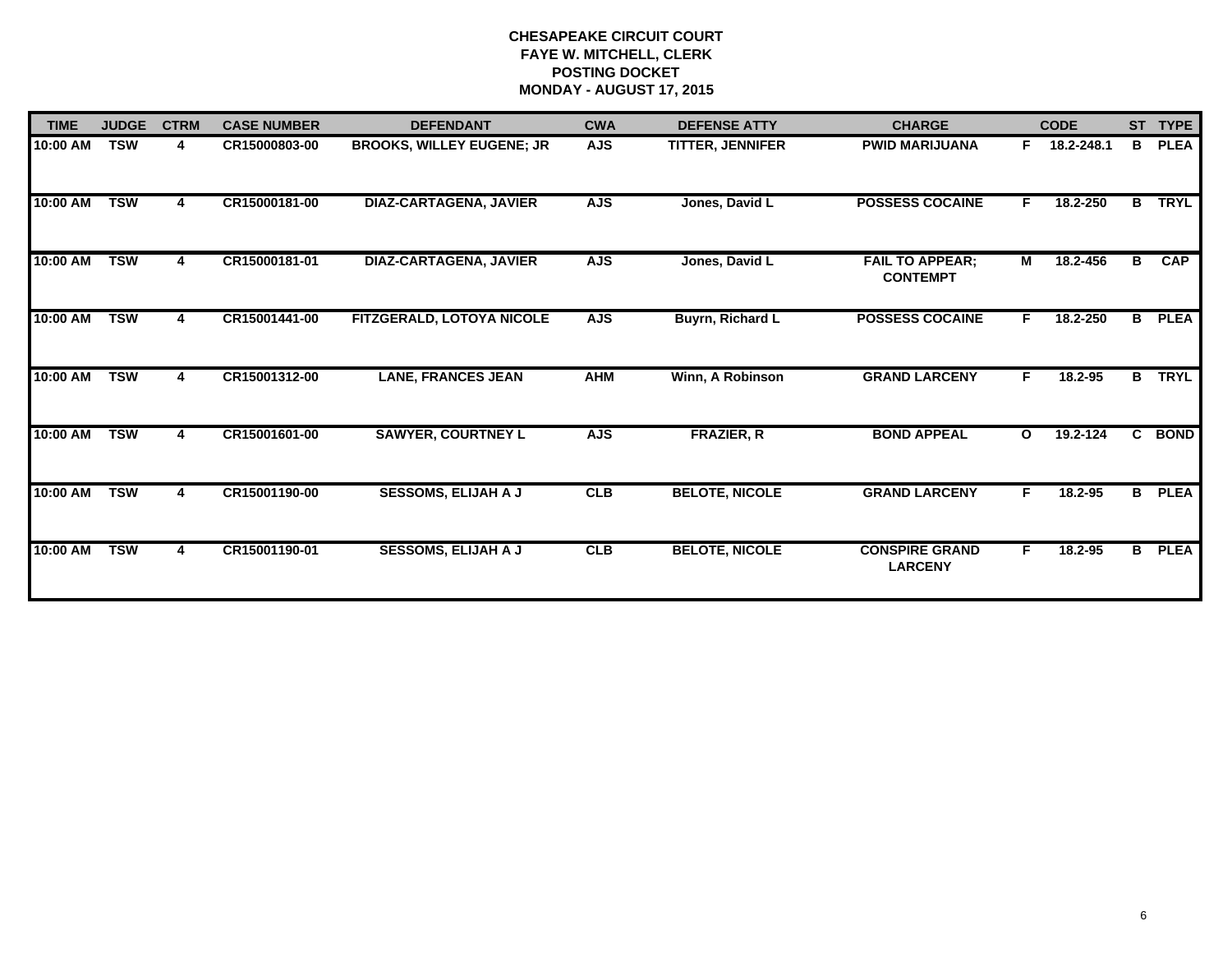| <b>TIME</b> | <b>JUDGE</b> | <b>CTRM</b> | <b>CASE NUMBER</b> | <b>DEFENDANT</b>                            | <b>CWA</b> | <b>DEFENSE ATTY</b>     | <b>CHARGE</b>                             |                          | <b>CODE</b> |   | ST TYPE       |
|-------------|--------------|-------------|--------------------|---------------------------------------------|------------|-------------------------|-------------------------------------------|--------------------------|-------------|---|---------------|
| 10:00 AM    | <b>TSW</b>   | 4           | CR15000803-00      | <b>BROOKS, WILLEY EUGENE; JR</b>            | <b>AJS</b> | <b>TITTER, JENNIFER</b> | <b>PWID MARIJUANA</b>                     | F.                       | 18.2-248.1  | B | <b>PLEA</b>   |
| 10:00 AM    | <b>TSW</b>   | 4           | CR15000181-00      | <b>DIAZ-CARTAGENA, JAVIER</b>               | <b>AJS</b> | Jones, David L          | <b>POSSESS COCAINE</b>                    | F.                       | 18.2-250    | B | <b>TRYL</b>   |
| 10:00 AM    | <b>TSW</b>   | 4           | CR15000181-01      | <b>DIAZ-CARTAGENA, JAVIER</b><br><b>AJS</b> |            | Jones, David L          | <b>FAIL TO APPEAR;</b><br><b>CONTEMPT</b> | M                        | 18.2-456    | B | <b>CAP</b>    |
| 10:00 AM    | <b>TSW</b>   | 4           | CR15001441-00      | FITZGERALD, LOTOYA NICOLE                   | <b>AJS</b> | Buyrn, Richard L        | <b>POSSESS COCAINE</b>                    | F.                       | 18.2-250    | B | <b>PLEA</b>   |
| 10:00 AM    | <b>TSW</b>   | 4           | CR15001312-00      | <b>LANE, FRANCES JEAN</b>                   | <b>AHM</b> | Winn, A Robinson        | <b>GRAND LARCENY</b>                      | F.                       | 18.2-95     | B | <b>TRYL</b>   |
| 10:00 AM    | <b>TSW</b>   | 4           | CR15001601-00      | <b>SAWYER, COURTNEY L</b>                   | <b>AJS</b> | <b>FRAZIER, R</b>       | <b>BOND APPEAL</b>                        | 19.2-124<br>$\mathbf{o}$ |             |   | C BOND        |
| 10:00 AM    | <b>TSW</b>   | 4           | CR15001190-00      | <b>SESSOMS, ELIJAH A J</b>                  | CLB        | <b>BELOTE, NICOLE</b>   | <b>GRAND LARCENY</b>                      | F.                       | $18.2 - 95$ |   | <b>B</b> PLEA |
| 10:00 AM    | <b>TSW</b>   | 4           | CR15001190-01      | <b>SESSOMS, ELIJAH A J</b>                  | CLB        | <b>BELOTE, NICOLE</b>   | <b>CONSPIRE GRAND</b><br><b>LARCENY</b>   | F.                       | 18.2-95     |   | <b>B</b> PLEA |